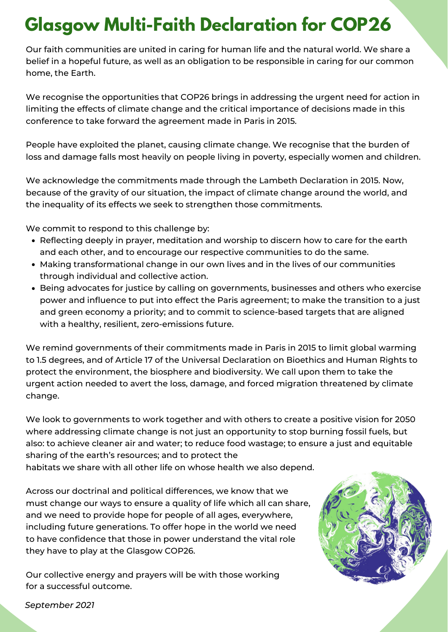- Reflecting deeply in prayer, meditation and worship to discern how to care for the earth and each other, and to encourage our respective communities to do the same.
- Making transformational change in our own lives and in the lives of our communities through individual and collective action.
- Being advocates for justice by calling on governments, businesses and others who exercise power and influence to put into effect the Paris agreement; to make the transition to a just and green economy a priority; and to commit to science-based targets that are aligned with a healthy, resilient, zero-emissions future.

Our faith communities are united in caring for human life and the natural world. We share a belief in a hopeful future, as well as an obligation to be responsible in caring for our common home, the Earth.

We recognise the opportunities that COP26 brings in addressing the urgent need for action in limiting the effects of climate change and the critical importance of decisions made in this conference to take forward the agreement made in Paris in 2015.

People have exploited the planet, causing climate change. We recognise that the burden of loss and damage falls most heavily on people living in poverty, especially women and children.

We acknowledge the commitments made through the Lambeth Declaration in 2015. Now, because of the gravity of our situation, the impact of climate change around the world, and the inequality of its effects we seek to strengthen those commitments.

We commit to respond to this challenge by:

We remind governments of their commitments made in Paris in 2015 to limit global warming to 1.5 degrees, and of Article 17 of the Universal Declaration on Bioethics and Human Rights to protect the environment, the biosphere and biodiversity. We call upon them to take the urgent action needed to avert the loss, damage, and forced migration threatened by climate change.

We look to governments to work together and with others to create a positive vision for 2050 where addressing climate change is not just an opportunity to stop burning fossil fuels, but also: to achieve cleaner air and water; to reduce food wastage; to ensure a just and equitable sharing of the earth's resources; and to protect the

habitats we share with all other life on whose health we also depend.



Across our doctrinal and political differences, we know that we must change our ways to ensure a quality of life which all can share, and we need to provide hope for people of all ages, everywhere, including future generations. To offer hope in the world we need to have confidence that those in power understand the vital role they have to play at the Glasgow COP26.

Our collective energy and prayers will be with those working for a successful outcome.

## **Glasgow Multi-Faith Declaration for COP26**

*September 2021*